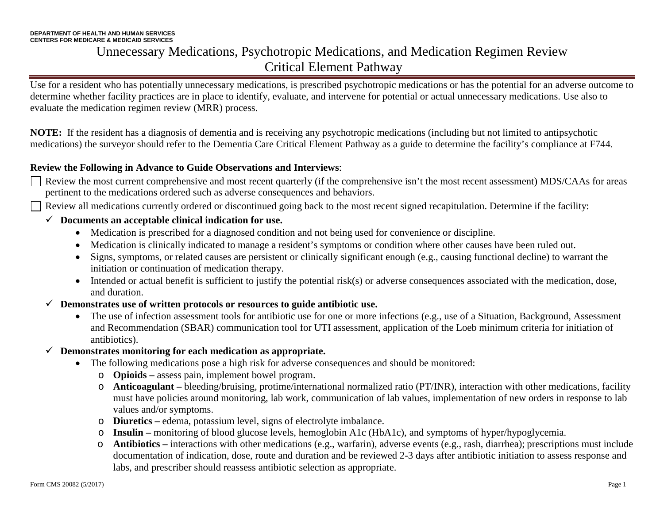Use for a resident who has potentially unnecessary medications, is prescribed psychotropic medications or has the potential for an adverse outcome to determine whether facility practices are in place to identify, evaluate, and intervene for potential or actual unnecessary medications. Use also to evaluate the medication regimen review (MRR) process.

**NOTE:** If the resident has a diagnosis of dementia and is receiving any psychotropic medications (including but not limited to antipsychotic medications) the surveyor should refer to the Dementia Care Critical Element Pathway as a guide to determine the facility's compliance at F744.

#### **Review the Following in Advance to Guide Observations and Interviews**:

- Review the most current comprehensive and most recent quarterly (if the comprehensive isn't the most recent assessment) MDS/CAAs for areas pertinent to the medications ordered such as adverse consequences and behaviors.
- Review all medications currently ordered or discontinued going back to the most recent signed recapitulation. Determine if the facility:

#### **Documents an acceptable clinical indication for use.**

- Medication is prescribed for a diagnosed condition and not being used for convenience or discipline.
- Medication is clinically indicated to manage a resident's symptoms or condition where other causes have been ruled out.
- Signs, symptoms, or related causes are persistent or clinically significant enough (e.g., causing functional decline) to warrant the initiation or continuation of medication therapy.
- Intended or actual benefit is sufficient to justify the potential risk(s) or adverse consequences associated with the medication, dose, and duration.
- **Demonstrates use of written protocols or resources to guide antibiotic use.**
	- The use of infection assessment tools for antibiotic use for one or more infections (e.g., use of a Situation, Background, Assessment and Recommendation (SBAR) communication tool for UTI assessment, application of the Loeb minimum criteria for initiation of antibiotics).
- **Demonstrates monitoring for each medication as appropriate.**
	- The following medications pose a high risk for adverse consequences and should be monitored:
		- o **Opioids –** assess pain, implement bowel program.
		- o **Anticoagulant –** bleeding/bruising, protime/international normalized ratio (PT/INR), interaction with other medications, facility must have policies around monitoring, lab work, communication of lab values, implementation of new orders in response to lab values and/or symptoms.
		- o **Diuretics –** edema, potassium level, signs of electrolyte imbalance.
		- o **Insulin –** monitoring of blood glucose levels, hemoglobin A1c (HbA1c), and symptoms of hyper/hypoglycemia.
		- o **Antibiotics –** interactions with other medications (e.g., warfarin), adverse events (e.g., rash, diarrhea); prescriptions must include documentation of indication, dose, route and duration and be reviewed 2-3 days after antibiotic initiation to assess response and labs, and prescriber should reassess antibiotic selection as appropriate.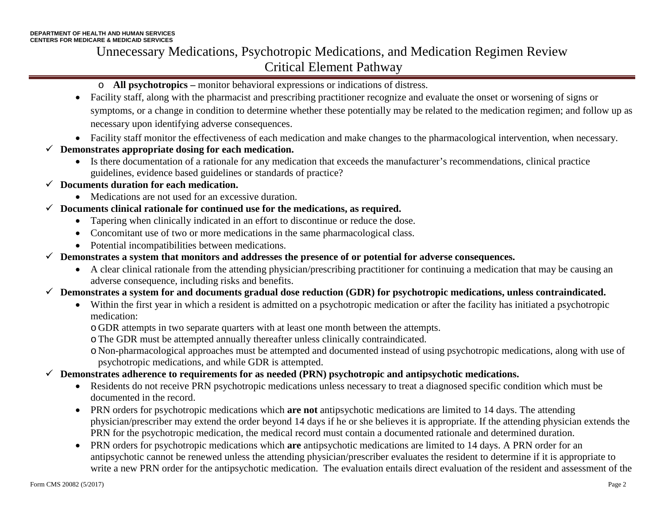#### o **All psychotropics –** monitor behavioral expressions or indications of distress.

- Facility staff, along with the pharmacist and prescribing practitioner recognize and evaluate the onset or worsening of signs or symptoms, or a change in condition to determine whether these potentially may be related to the medication regimen; and follow up as necessary upon identifying adverse consequences.
- Facility staff monitor the effectiveness of each medication and make changes to the pharmacological intervention, when necessary.
- **Demonstrates appropriate dosing for each medication.**
	- Is there documentation of a rationale for any medication that exceeds the manufacturer's recommendations, clinical practice guidelines, evidence based guidelines or standards of practice?
- **Documents duration for each medication.** 
	- Medications are not used for an excessive duration.
- **Documents clinical rationale for continued use for the medications, as required.**
	- Tapering when clinically indicated in an effort to discontinue or reduce the dose.
	- Concomitant use of two or more medications in the same pharmacological class.
	- Potential incompatibilities between medications.
- **Demonstrates a system that monitors and addresses the presence of or potential for adverse consequences.**
	- A clear clinical rationale from the attending physician/prescribing practitioner for continuing a medication that may be causing an adverse consequence, including risks and benefits.

#### **Demonstrates a system for and documents gradual dose reduction (GDR) for psychotropic medications, unless contraindicated.**

- Within the first year in which a resident is admitted on a psychotropic medication or after the facility has initiated a psychotropic medication:
	- o GDR attempts in two separate quarters with at least one month between the attempts.
	- oThe GDR must be attempted annually thereafter unless clinically contraindicated.
	- o Non-pharmacological approaches must be attempted and documented instead of using psychotropic medications, along with use of psychotropic medications, and while GDR is attempted.
- **Demonstrates adherence to requirements for as needed (PRN) psychotropic and antipsychotic medications.**
	- Residents do not receive PRN psychotropic medications unless necessary to treat a diagnosed specific condition which must be documented in the record.
	- PRN orders for psychotropic medications which **are not** antipsychotic medications are limited to 14 days. The attending physician/prescriber may extend the order beyond 14 days if he or she believes it is appropriate. If the attending physician extends the PRN for the psychotropic medication, the medical record must contain a documented rationale and determined duration.
	- PRN orders for psychotropic medications which **are** antipsychotic medications are limited to 14 days. A PRN order for an antipsychotic cannot be renewed unless the attending physician/prescriber evaluates the resident to determine if it is appropriate to write a new PRN order for the antipsychotic medication. The evaluation entails direct evaluation of the resident and assessment of the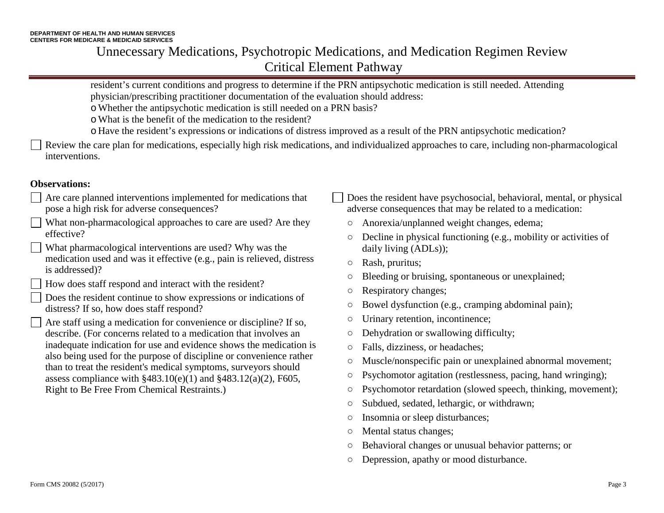resident's current conditions and progress to determine if the PRN antipsychotic medication is still needed. Attending physician/prescribing practitioner documentation of the evaluation should address:

- oWhether the antipsychotic medication is still needed on a PRN basis?
- oWhat is the benefit of the medication to the resident?
- o Have the resident's expressions or indications of distress improved as a result of the PRN antipsychotic medication?

Review the care plan for medications, especially high risk medications, and individualized approaches to care, including non-pharmacological interventions.

#### **Observations:**

- Are care planned interventions implemented for medications that pose a high risk for adverse consequences?
- What non-pharmacological approaches to care are used? Are they effective?
- What pharmacological interventions are used? Why was the medication used and was it effective (e.g., pain is relieved, distress is addressed)?
- How does staff respond and interact with the resident?
- Does the resident continue to show expressions or indications of distress? If so, how does staff respond?
- Are staff using a medication for convenience or discipline? If so, describe. (For concerns related to a medication that involves an inadequate indication for use and evidence shows the medication is also being used for the purpose of discipline or convenience rather than to treat the resident's medical symptoms, surveyors should assess compliance with  $§483.10(e)(1)$  and  $§483.12(a)(2)$ , F605, Right to Be Free From Chemical Restraints.)
- Does the resident have psychosocial, behavioral, mental, or physical adverse consequences that may be related to a medication:
	- **○** Anorexia/unplanned weight changes, edema;
	- **○** Decline in physical functioning (e.g., mobility or activities of daily living (ADLs));
	- **○** Rash, pruritus;
	- **○** Bleeding or bruising, spontaneous or unexplained;
	- **○** Respiratory changes;
	- **○** Bowel dysfunction (e.g., cramping abdominal pain);
	- **○** Urinary retention, incontinence;
	- **○** Dehydration or swallowing difficulty;
	- **○** Falls, dizziness, or headaches;
- **○** Muscle/nonspecific pain or unexplained abnormal movement;
- **○** Psychomotor agitation (restlessness, pacing, hand wringing);
- **○** Psychomotor retardation (slowed speech, thinking, movement);
- **○** Subdued, sedated, lethargic, or withdrawn;
- **○** Insomnia or sleep disturbances;
- **○** Mental status changes;
- **○** Behavioral changes or unusual behavior patterns; or
- **○** Depression, apathy or mood disturbance.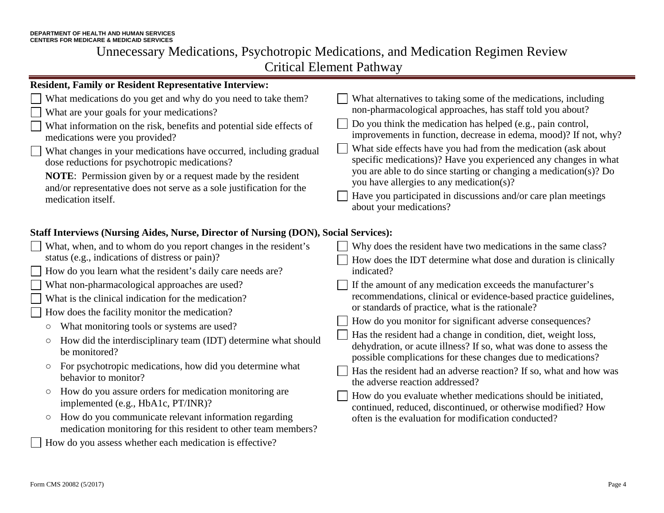| <b>Resident, Family or Resident Representative Interview:</b>                                                                                  |                                                                                                                                                                                                     |  |
|------------------------------------------------------------------------------------------------------------------------------------------------|-----------------------------------------------------------------------------------------------------------------------------------------------------------------------------------------------------|--|
| What medications do you get and why do you need to take them?<br>What are your goals for your medications?                                     | What alternatives to taking some of the medications, including<br>non-pharmacological approaches, has staff told you about?                                                                         |  |
| What information on the risk, benefits and potential side effects of<br>medications were you provided?                                         | Do you think the medication has helped (e.g., pain control,<br>improvements in function, decrease in edema, mood)? If not, why?                                                                     |  |
| What changes in your medications have occurred, including gradual<br>dose reductions for psychotropic medications?                             | What side effects have you had from the medication (ask about<br>specific medications)? Have you experienced any changes in what                                                                    |  |
| <b>NOTE:</b> Permission given by or a request made by the resident<br>and/or representative does not serve as a sole justification for the     | you are able to do since starting or changing a medication(s)? Do<br>you have allergies to any medication(s)?                                                                                       |  |
| medication itself.                                                                                                                             | Have you participated in discussions and/or care plan meetings<br>about your medications?                                                                                                           |  |
| <b>Staff Interviews (Nursing Aides, Nurse, Director of Nursing (DON), Social Services):</b>                                                    |                                                                                                                                                                                                     |  |
| What, when, and to whom do you report changes in the resident's                                                                                | Why does the resident have two medications in the same class?                                                                                                                                       |  |
| status (e.g., indications of distress or pain)?                                                                                                | How does the IDT determine what dose and duration is clinically                                                                                                                                     |  |
| How do you learn what the resident's daily care needs are?                                                                                     | indicated?                                                                                                                                                                                          |  |
| What non-pharmacological approaches are used?                                                                                                  | If the amount of any medication exceeds the manufacturer's                                                                                                                                          |  |
| What is the clinical indication for the medication?                                                                                            | recommendations, clinical or evidence-based practice guidelines,                                                                                                                                    |  |
| How does the facility monitor the medication?                                                                                                  | or standards of practice, what is the rationale?                                                                                                                                                    |  |
| What monitoring tools or systems are used?<br>$\bigcirc$                                                                                       | How do you monitor for significant adverse consequences?                                                                                                                                            |  |
| How did the interdisciplinary team (IDT) determine what should<br>$\bigcirc$<br>be monitored?                                                  | Has the resident had a change in condition, diet, weight loss,<br>dehydration, or acute illness? If so, what was done to assess the<br>possible complications for these changes due to medications? |  |
| For psychotropic medications, how did you determine what<br>$\circlearrowright$<br>behavior to monitor?                                        | Has the resident had an adverse reaction? If so, what and how was<br>the adverse reaction addressed?                                                                                                |  |
| How do you assure orders for medication monitoring are<br>$\bigcirc$<br>implemented (e.g., HbA1c, PT/INR)?                                     | How do you evaluate whether medications should be initiated,<br>continued, reduced, discontinued, or otherwise modified? How                                                                        |  |
| How do you communicate relevant information regarding<br>$\circlearrowright$<br>medication monitoring for this resident to other team members? | often is the evaluation for modification conducted?                                                                                                                                                 |  |

How do you assess whether each medication is effective?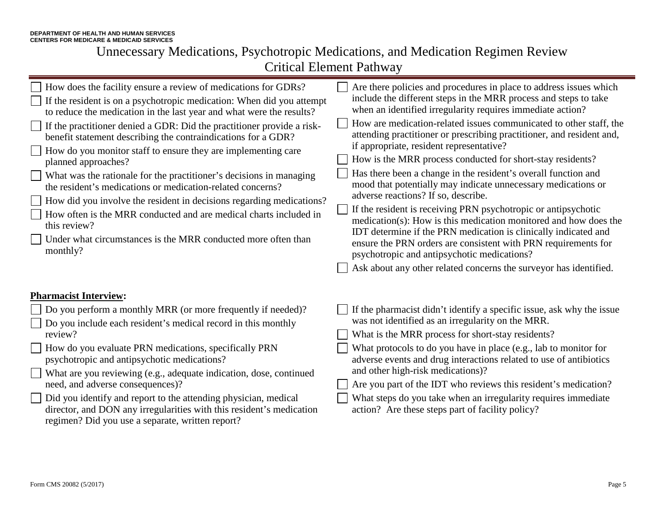| How does the facility ensure a review of medications for GDRs?<br>Are there policies and procedures in place to address issues which<br>include the different steps in the MRR process and steps to take<br>$\Box$ If the resident is on a psychotropic medication: When did you attempt<br>when an identified irregularity requires immediate action?<br>to reduce the medication in the last year and what were the results?<br>How are medication-related issues communicated to other staff, the<br>$\Box$ If the practitioner denied a GDR: Did the practitioner provide a risk-<br>attending practitioner or prescribing practitioner, and resident and,<br>benefit statement describing the contraindications for a GDR?<br>if appropriate, resident representative?<br>How do you monitor staff to ensure they are implementing care<br>How is the MRR process conducted for short-stay residents?<br>planned approaches?<br>Has there been a change in the resident's overall function and<br>What was the rationale for the practitioner's decisions in managing<br>mood that potentially may indicate unnecessary medications or<br>the resident's medications or medication-related concerns?<br>adverse reactions? If so, describe.<br>$\Box$ How did you involve the resident in decisions regarding medications? |  |
|---------------------------------------------------------------------------------------------------------------------------------------------------------------------------------------------------------------------------------------------------------------------------------------------------------------------------------------------------------------------------------------------------------------------------------------------------------------------------------------------------------------------------------------------------------------------------------------------------------------------------------------------------------------------------------------------------------------------------------------------------------------------------------------------------------------------------------------------------------------------------------------------------------------------------------------------------------------------------------------------------------------------------------------------------------------------------------------------------------------------------------------------------------------------------------------------------------------------------------------------------------------------------------------------------------------------------------|--|
| If the resident is receiving PRN psychotropic or antipsychotic<br>How often is the MRR conducted and are medical charts included in<br>medication(s): How is this medication monitored and how does the<br>this review?<br>IDT determine if the PRN medication is clinically indicated and<br>Under what circumstances is the MRR conducted more often than<br>ensure the PRN orders are consistent with PRN requirements for<br>monthly?<br>psychotropic and antipsychotic medications?<br>Ask about any other related concerns the surveyor has identified.                                                                                                                                                                                                                                                                                                                                                                                                                                                                                                                                                                                                                                                                                                                                                                   |  |
| <b>Pharmacist Interview:</b>                                                                                                                                                                                                                                                                                                                                                                                                                                                                                                                                                                                                                                                                                                                                                                                                                                                                                                                                                                                                                                                                                                                                                                                                                                                                                                    |  |
| $\Box$ Do you perform a monthly MRR (or more frequently if needed)?<br>If the pharmacist didn't identify a specific issue, ask why the issue<br>was not identified as an irregularity on the MRR.<br>□ Do you include each resident's medical record in this monthly<br>review?<br>What is the MRR process for short-stay residents?<br>How do you evaluate PRN medications, specifically PRN<br>What protocols to do you have in place (e.g., lab to monitor for                                                                                                                                                                                                                                                                                                                                                                                                                                                                                                                                                                                                                                                                                                                                                                                                                                                               |  |
| psychotropic and antipsychotic medications?<br>adverse events and drug interactions related to use of antibiotics<br>and other high-risk medications)?<br>What are you reviewing (e.g., adequate indication, dose, continued<br>Are you part of the IDT who reviews this resident's medication?<br>need, and adverse consequences)?<br>Did you identify and report to the attending physician, medical<br>What steps do you take when an irregularity requires immediate<br>director, and DON any irregularities with this resident's medication<br>action? Are these steps part of facility policy?                                                                                                                                                                                                                                                                                                                                                                                                                                                                                                                                                                                                                                                                                                                            |  |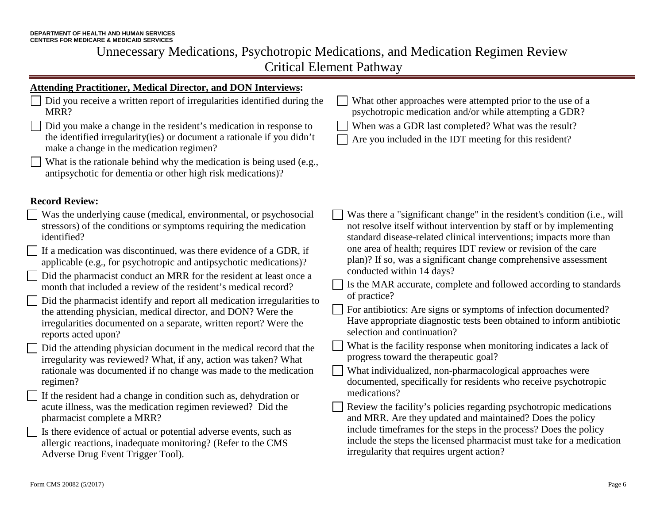#### **Attending Practitioner, Medical Director, and DON Interviews:** Did you receive a written report of irregularities identified during the What other approaches were attempted prior to the use of a psychotropic medication and/or while attempting a GDR? MRR? Did you make a change in the resident's medication in response to When was a GDR last completed? What was the result? the identified irregularity(ies) or document a rationale if you didn't Are you included in the IDT meeting for this resident? make a change in the medication regimen? What is the rationale behind why the medication is being used (e.g., antipsychotic for dementia or other high risk medications)? **Record Review:** Was the underlying cause (medical, environmental, or psychosocial Was there a "significant change" in the resident's condition (i.e., will stressors) of the conditions or symptoms requiring the medication not resolve itself without intervention by staff or by implementing standard disease-related clinical interventions; impacts more than identified? one area of health; requires IDT review or revision of the care If a medication was discontinued, was there evidence of a GDR, if plan)? If so, was a significant change comprehensive assessment applicable (e.g., for psychotropic and antipsychotic medications)? conducted within 14 days? Did the pharmacist conduct an MRR for the resident at least once a  $\Box$  Is the MAR accurate, complete and followed according to standards month that included a review of the resident's medical record? of practice? Did the pharmacist identify and report all medication irregularities to For antibiotics: Are signs or symptoms of infection documented?  $\perp$ the attending physician, medical director, and DON? Were the Have appropriate diagnostic tests been obtained to inform antibiotic irregularities documented on a separate, written report? Were the selection and continuation? reports acted upon? What is the facility response when monitoring indicates a lack of Did the attending physician document in the medical record that the progress toward the therapeutic goal? irregularity was reviewed? What, if any, action was taken? What rationale was documented if no change was made to the medication What individualized, non-pharmacological approaches were documented, specifically for residents who receive psychotropic regimen? medications? If the resident had a change in condition such as, dehydration or acute illness, was the medication regimen reviewed? Did the Review the facility's policies regarding psychotropic medications pharmacist complete a MRR? and MRR. Are they updated and maintained? Does the policy include timeframes for the steps in the process? Does the policy Is there evidence of actual or potential adverse events, such as include the steps the licensed pharmacist must take for a medication allergic reactions, inadequate monitoring? (Refer to the CMS irregularity that requires urgent action?Adverse Drug Event Trigger Tool).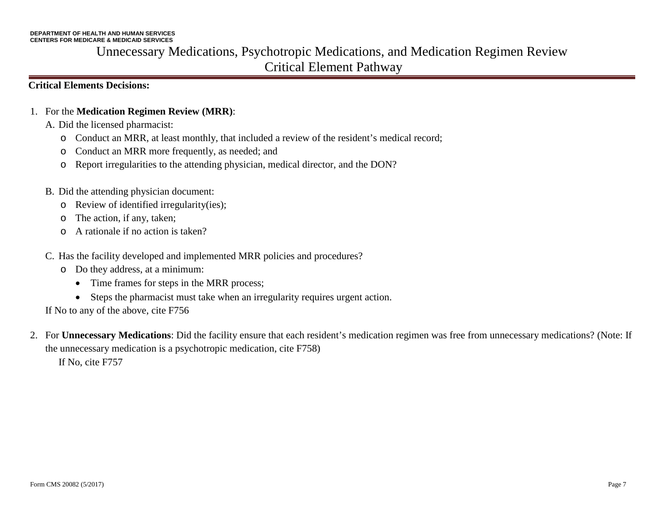### **Critical Elements Decisions:**

- 1. For the **Medication Regimen Review (MRR)**:
	- A. Did the licensed pharmacist:
		- o Conduct an MRR, at least monthly, that included a review of the resident's medical record;
		- o Conduct an MRR more frequently, as needed; and
		- o Report irregularities to the attending physician, medical director, and the DON?
	- B. Did the attending physician document:
		- o Review of identified irregularity(ies);
		- o The action, if any, taken;
		- o A rationale if no action is taken?
	- C. Has the facility developed and implemented MRR policies and procedures?
		- o Do they address, at a minimum:
			- Time frames for steps in the MRR process;
			- Steps the pharmacist must take when an irregularity requires urgent action.
	- If No to any of the above, cite F756
- 2. For **Unnecessary Medications**: Did the facility ensure that each resident's medication regimen was free from unnecessary medications? (Note: If the unnecessary medication is a psychotropic medication, cite F758) If No, cite F757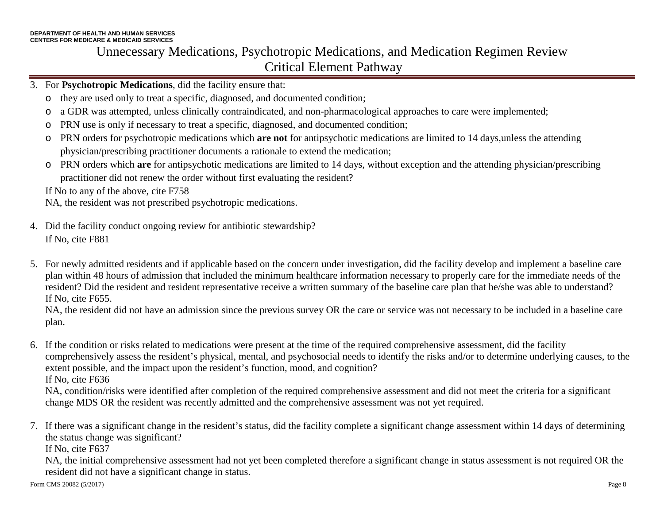- 3. For **Psychotropic Medications**, did the facility ensure that:
	- o they are used only to treat a specific, diagnosed, and documented condition;
	- o a GDR was attempted, unless clinically contraindicated, and non-pharmacological approaches to care were implemented;
	- o PRN use is only if necessary to treat a specific, diagnosed, and documented condition;
	- o PRN orders for psychotropic medications which **are not** for antipsychotic medications are limited to 14 days,unless the attending physician/prescribing practitioner documents a rationale to extend the medication;
	- o PRN orders which **are** for antipsychotic medications are limited to 14 days, without exception and the attending physician/prescribing practitioner did not renew the order without first evaluating the resident?

If No to any of the above, cite F758

NA, the resident was not prescribed psychotropic medications.

- 4. Did the facility conduct ongoing review for antibiotic stewardship? If No, cite F881
- 5. For newly admitted residents and if applicable based on the concern under investigation, did the facility develop and implement a baseline care plan within 48 hours of admission that included the minimum healthcare information necessary to properly care for the immediate needs of the resident? Did the resident and resident representative receive a written summary of the baseline care plan that he/she was able to understand? If No, cite F655.

NA, the resident did not have an admission since the previous survey OR the care or service was not necessary to be included in a baseline care plan.

6. If the condition or risks related to medications were present at the time of the required comprehensive assessment, did the facility comprehensively assess the resident's physical, mental, and psychosocial needs to identify the risks and/or to determine underlying causes, to the extent possible, and the impact upon the resident's function, mood, and cognition? If No, cite F636

NA, condition/risks were identified after completion of the required comprehensive assessment and did not meet the criteria for a significant change MDS OR the resident was recently admitted and the comprehensive assessment was not yet required.

7. If there was a significant change in the resident's status, did the facility complete a significant change assessment within 14 days of determining the status change was significant?

If No, cite F637

NA, the initial comprehensive assessment had not yet been completed therefore a significant change in status assessment is not required OR the resident did not have a significant change in status.